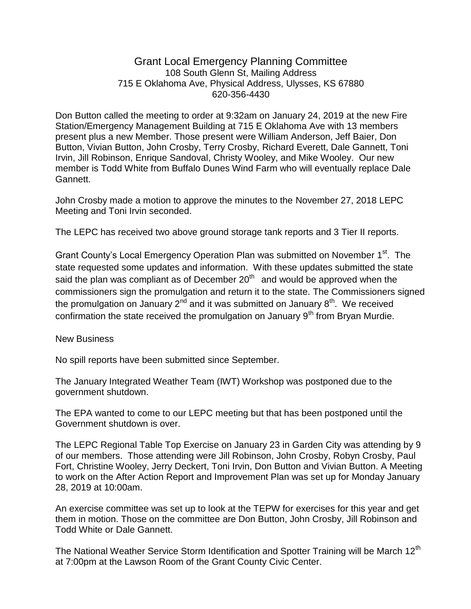## Grant Local Emergency Planning Committee 108 South Glenn St, Mailing Address 715 E Oklahoma Ave, Physical Address, Ulysses, KS 67880 620-356-4430

Don Button called the meeting to order at 9:32am on January 24, 2019 at the new Fire Station/Emergency Management Building at 715 E Oklahoma Ave with 13 members present plus a new Member. Those present were William Anderson, Jeff Baier, Don Button, Vivian Button, John Crosby, Terry Crosby, Richard Everett, Dale Gannett, Toni Irvin, Jill Robinson, Enrique Sandoval, Christy Wooley, and Mike Wooley. Our new member is Todd White from Buffalo Dunes Wind Farm who will eventually replace Dale Gannett.

John Crosby made a motion to approve the minutes to the November 27, 2018 LEPC Meeting and Toni Irvin seconded.

The LEPC has received two above ground storage tank reports and 3 Tier II reports.

Grant County's Local Emergency Operation Plan was submitted on November 1<sup>st</sup>. The state requested some updates and information. With these updates submitted the state said the plan was compliant as of December 20<sup>th</sup> and would be approved when the commissioners sign the promulgation and return it to the state. The Commissioners signed the promulgation on January 2<sup>nd</sup> and it was submitted on January 8<sup>th</sup>. We received confirmation the state received the promulgation on January 9<sup>th</sup> from Bryan Murdie.

New Business

No spill reports have been submitted since September.

The January Integrated Weather Team (IWT) Workshop was postponed due to the government shutdown.

The EPA wanted to come to our LEPC meeting but that has been postponed until the Government shutdown is over.

The LEPC Regional Table Top Exercise on January 23 in Garden City was attending by 9 of our members. Those attending were Jill Robinson, John Crosby, Robyn Crosby, Paul Fort, Christine Wooley, Jerry Deckert, Toni Irvin, Don Button and Vivian Button. A Meeting to work on the After Action Report and Improvement Plan was set up for Monday January 28, 2019 at 10:00am.

An exercise committee was set up to look at the TEPW for exercises for this year and get them in motion. Those on the committee are Don Button, John Crosby, Jill Robinson and Todd White or Dale Gannett.

The National Weather Service Storm Identification and Spotter Training will be March 12<sup>th</sup> at 7:00pm at the Lawson Room of the Grant County Civic Center.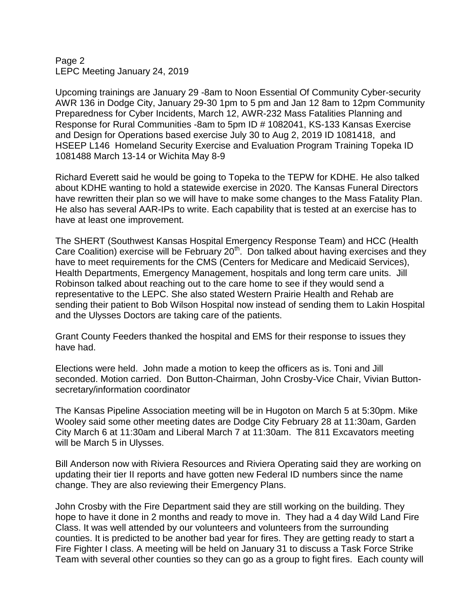## Page 2 LEPC Meeting January 24, 2019

Upcoming trainings are January 29 -8am to Noon Essential Of Community Cyber-security AWR 136 in Dodge City, January 29-30 1pm to 5 pm and Jan 12 8am to 12pm Community Preparedness for Cyber Incidents, March 12, AWR-232 Mass Fatalities Planning and Response for Rural Communities -8am to 5pm ID # 1082041, KS-133 Kansas Exercise and Design for Operations based exercise July 30 to Aug 2, 2019 ID 1081418, and HSEEP L146 Homeland Security Exercise and Evaluation Program Training Topeka ID 1081488 March 13-14 or Wichita May 8-9

Richard Everett said he would be going to Topeka to the TEPW for KDHE. He also talked about KDHE wanting to hold a statewide exercise in 2020. The Kansas Funeral Directors have rewritten their plan so we will have to make some changes to the Mass Fatality Plan. He also has several AAR-IPs to write. Each capability that is tested at an exercise has to have at least one improvement.

The SHERT (Southwest Kansas Hospital Emergency Response Team) and HCC (Health Care Coalition) exercise will be February  $20<sup>th</sup>$ . Don talked about having exercises and they have to meet requirements for the CMS (Centers for Medicare and Medicaid Services), Health Departments, Emergency Management, hospitals and long term care units. Jill Robinson talked about reaching out to the care home to see if they would send a representative to the LEPC. She also stated Western Prairie Health and Rehab are sending their patient to Bob Wilson Hospital now instead of sending them to Lakin Hospital and the Ulysses Doctors are taking care of the patients.

Grant County Feeders thanked the hospital and EMS for their response to issues they have had.

Elections were held. John made a motion to keep the officers as is. Toni and Jill seconded. Motion carried. Don Button-Chairman, John Crosby-Vice Chair, Vivian Buttonsecretary/information coordinator

The Kansas Pipeline Association meeting will be in Hugoton on March 5 at 5:30pm. Mike Wooley said some other meeting dates are Dodge City February 28 at 11:30am, Garden City March 6 at 11:30am and Liberal March 7 at 11:30am. The 811 Excavators meeting will be March 5 in Ulysses.

Bill Anderson now with Riviera Resources and Riviera Operating said they are working on updating their tier II reports and have gotten new Federal ID numbers since the name change. They are also reviewing their Emergency Plans.

John Crosby with the Fire Department said they are still working on the building. They hope to have it done in 2 months and ready to move in. They had a 4 day Wild Land Fire Class. It was well attended by our volunteers and volunteers from the surrounding counties. It is predicted to be another bad year for fires. They are getting ready to start a Fire Fighter I class. A meeting will be held on January 31 to discuss a Task Force Strike Team with several other counties so they can go as a group to fight fires. Each county will